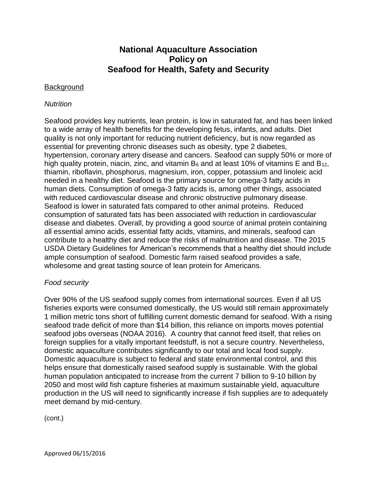# **National Aquaculture Association Policy on Seafood for Health, Safety and Security**

### **Background**

### *Nutrition*

Seafood provides key nutrients, lean protein, is low in saturated fat, and has been linked to a wide array of health benefits for the developing fetus, infants, and adults. Diet quality is not only important for reducing nutrient deficiency, but is now regarded as essential for preventing chronic diseases such as obesity, type 2 diabetes, hypertension, coronary artery disease and cancers. Seafood can supply 50% or more of high quality protein, niacin, zinc, and vitamin  $B_6$  and at least 10% of vitamins E and  $B_{12}$ , thiamin, riboflavin, phosphorus, magnesium, iron, copper, potassium and linoleic acid needed in a healthy diet. Seafood is the primary source for omega-3 fatty acids in human diets. Consumption of omega-3 fatty acids is, among other things, associated with reduced cardiovascular disease and chronic obstructive pulmonary disease. Seafood is lower in saturated fats compared to other animal proteins. Reduced consumption of saturated fats has been associated with reduction in cardiovascular disease and diabetes. Overall, by providing a good source of animal protein containing all essential amino acids, essential fatty acids, vitamins, and minerals, seafood can contribute to a healthy diet and reduce the risks of malnutrition and disease. The 2015 USDA Dietary Guidelines for American's recommends that a healthy diet should include ample consumption of seafood. Domestic farm raised seafood provides a safe, wholesome and great tasting source of lean protein for Americans.

### *Food security*

Over 90% of the US seafood supply comes from international sources. Even if all US fisheries exports were consumed domestically, the US would still remain approximately 1 million metric tons short of fulfilling current domestic demand for seafood. With a rising seafood trade deficit of more than \$14 billion, this reliance on imports moves potential seafood jobs overseas (NOAA 2016). A country that cannot feed itself, that relies on foreign supplies for a vitally important feedstuff, is not a secure country. Nevertheless, domestic aquaculture contributes significantly to our total and local food supply. Domestic aquaculture is subject to federal and state environmental control, and this helps ensure that domestically raised seafood supply is sustainable. With the global human population anticipated to increase from the current 7 billion to 9-10 billion by 2050 and most wild fish capture fisheries at maximum sustainable yield, aquaculture production in the US will need to significantly increase if fish supplies are to adequately meet demand by mid-century.

(cont.)